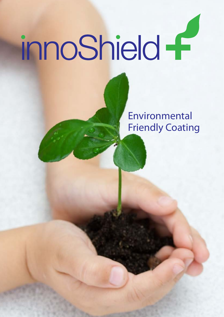# innoShield f

Environmental Friendly Coating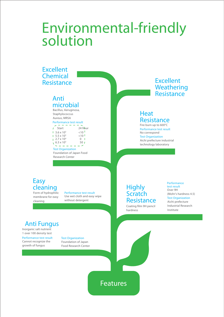# **Environmental-friendly solution**

| <b>Chemical</b>                                                                                                                                                                                                                                                                                                                                                       | <b>Excellent</b>                                                                                                                                                                          |
|-----------------------------------------------------------------------------------------------------------------------------------------------------------------------------------------------------------------------------------------------------------------------------------------------------------------------------------------------------------------------|-------------------------------------------------------------------------------------------------------------------------------------------------------------------------------------------|
| <b>Resistance</b>                                                                                                                                                                                                                                                                                                                                                     | Weathering                                                                                                                                                                                |
| Anti                                                                                                                                                                                                                                                                                                                                                                  | <b>Resistance</b>                                                                                                                                                                         |
| microbial<br>Bacillus, Aeruginosa,<br>Staphylococcus<br>Aureus, MRSA<br>Performance test result<br>$24$ hour<br>Start<br>$10^{-1}$<br>$1.3.6 \times 10^5$<br>$<$ 10 $<$<br>$1.5.5 \times 10^{5}$<br>$2.7 \times 10^{4}$<br>0 <sub>1</sub><br>$6.3 \times 10^{5}$<br>50 <sub>1</sub><br><b>Test Organization</b><br>Foundation of Japan Food<br><b>Research Center</b> | <b>Heat</b><br><b>Resistance</b><br>Fire burn up to 600°C<br>Performance test result<br>No correspond<br><b>Test Organization</b><br>Aichi prefecture industrial<br>technology laboratory |

**cleaning** Form of hydrophilic membrane for easy cleaning

Use wet cloth and easy wipe without detergent **Performance test result** 

## **Anti Fungus**

Inorganic salt nutrient 1 over 100 density test

Cannot recognize the growth of fungus **Performance test result**  Foundation of Japan Food Research Center **Test Organization** 

**Highly Scratch Resistance**

Coating film 9H pencil hardness

Aichi prefecture Industrial Research Institute **Test Organization**  Over 9H (Mohr's hardness 4.5) **Performance test result** 

**Features**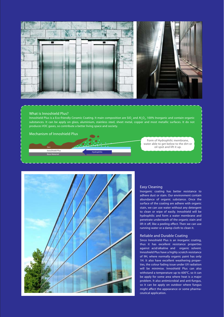

#### **What is Innoshield Plus?**

Innoshield Plus is a Eco-friendly Ceramic Coating. It main composition are SiO<sub>2</sub> and Al<sub>2</sub>O<sub>3</sub>, 100% Inorganic and contain organic substances. It can be apply on glass, aluminium, stainless steel, sheet metal, copper and most metallic surfaces. It do not produces VOC gases, so contribute a better living space and society.

**Hydrophilic**

**Mechanism of Innoshield Plus**

**Base Material InnoShield Plus**

**Dirt**

Form of Hydrophilic membrane, water able to get below to the dirt or oil spot and lift it up.



#### **Easy Cleaning**

Inorganic coating has better resistance to adhere dust or stain. Our environment contain abundance of organic substance. Once the surface of the coating are adhere with organic stain, we can use water without any detergent to clean or wipe of easily. Innoshield will be hydrophilic and form a water membrane and penetrate underneath of the organic stain and lift it off, like a peeling effect. Then we can use running water or a damp cloth to clean it.

#### **Reliable and Durable Coating**

Since Innoshield Plus is an inorganic coating, thus it has excellent resistance properties against acid/alkaline and organic solvent. Innoshield Plus have a highly scratch resistance of 9H, where normally organic paint has only 1H. It also have excellent weathering properties, the colour fading issue under UV radiation will be minimise. Innoshield Plus can also withstand a temperature up to 600°C, so it can be apply for some area where heat is a major problem. It also antimicrobial and anti-fungus, so it can be apply on outdoor where fungus might affect the appearance or some pharmaceutical application.